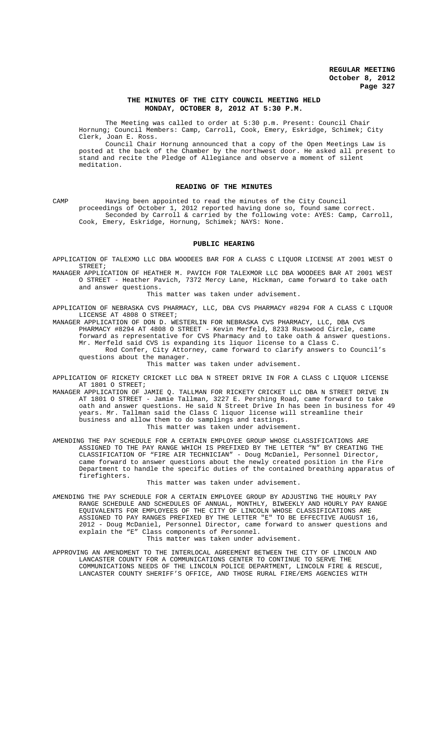## **THE MINUTES OF THE CITY COUNCIL MEETING HELD MONDAY, OCTOBER 8, 2012 AT 5:30 P.M.**

The Meeting was called to order at 5:30 p.m. Present: Council Chair Hornung; Council Members: Camp, Carroll, Cook, Emery, Eskridge, Schimek; City Clerk, Joan E. Ross.

Council Chair Hornung announced that a copy of the Open Meetings Law is posted at the back of the Chamber by the northwest door. He asked all present to stand and recite the Pledge of Allegiance and observe a moment of silent meditation.

## **READING OF THE MINUTES**

CAMP Having been appointed to read the minutes of the City Council proceedings of October 1, 2012 reported having done so, found same correct. Seconded by Carroll & carried by the following vote: AYES: Camp, Carroll, Cook, Emery, Eskridge, Hornung, Schimek; NAYS: None.

### **PUBLIC HEARING**

APPLICATION OF TALEXMO LLC DBA WOODEES BAR FOR A CLASS C LIQUOR LICENSE AT 2001 WEST O STREET;

MANAGER APPLICATION OF HEATHER M. PAVICH FOR TALEXMOR LLC DBA WOODEES BAR AT 2001 WEST O STREET - Heather Pavich, 7372 Mercy Lane, Hickman, came forward to take oath and answer questions.

This matter was taken under advisement.

APPLICATION OF NEBRASKA CVS PHARMACY, LLC, DBA CVS PHARMACY #8294 FOR A CLASS C LIQUOR LICENSE AT 4808 O STREET;

MANAGER APPLICATION OF DON D. WESTERLIN FOR NEBRASKA CVS PHARMACY, LLC, DBA CVS PHARMACY #8294 AT 4808 O STREET - Kevin Merfeld, 8233 Russwood Circle, came forward as representative for CVS Pharmacy and to take oath & answer questions. Mr. Merfeld said CVS is expanding its liquor license to a Class C. Rod Confer, City Attorney, came forward to clarify answers to Council's questions about the manager.

This matter was taken under advisement.

APPLICATION OF RICKETY CRICKET LLC DBA N STREET DRIVE IN FOR A CLASS C LIQUOR LICENSE AT 1801 O STREET;

MANAGER APPLICATION OF JAMIE Q. TALLMAN FOR RICKETY CRICKET LLC DBA N STREET DRIVE IN AT 1801 O STREET - Jamie Tallman, 3227 E. Pershing Road, came forward to take oath and answer questions. He said N Street Drive In has been in business for 49 years. Mr. Tallman said the Class C liquor license will streamline their business and allow them to do samplings and tastings. This matter was taken under advisement.

AMENDING THE PAY SCHEDULE FOR A CERTAIN EMPLOYEE GROUP WHOSE CLASSIFICATIONS ARE ASSIGNED TO THE PAY RANGE WHICH IS PREFIXED BY THE LETTER "N" BY CREATING THE CLASSIFICATION OF "FIRE AIR TECHNICIAN" - Doug McDaniel, Personnel Director, came forward to answer questions about the newly created position in the Fire Department to handle the specific duties of the contained breathing apparatus of firefighters.

This matter was taken under advisement.

AMENDING THE PAY SCHEDULE FOR A CERTAIN EMPLOYEE GROUP BY ADJUSTING THE HOURLY PAY RANGE SCHEDULE AND SCHEDULES OF ANNUAL, MONTHLY, BIWEEKLY AND HOURLY PAY RANGE EQUIVALENTS FOR EMPLOYEES OF THE CITY OF LINCOLN WHOSE CLASSIFICATIONS ARE ASSIGNED TO PAY RANGES PREFIXED BY THE LETTER "E" TO BE EFFECTIVE AUGUST 16, 2012 - Doug McDaniel, Personnel Director, came forward to answer questions and explain the "E" Class components of Personnel. This matter was taken under advisement.

APPROVING AN AMENDMENT TO THE INTERLOCAL AGREEMENT BETWEEN THE CITY OF LINCOLN AND LANCASTER COUNTY FOR A COMMUNICATIONS CENTER TO CONTINUE TO SERVE THE COMMUNICATIONS NEEDS OF THE LINCOLN POLICE DEPARTMENT, LINCOLN FIRE & RESCUE, LANCASTER COUNTY SHERIFF'S OFFICE, AND THOSE RURAL FIRE/EMS AGENCIES WITH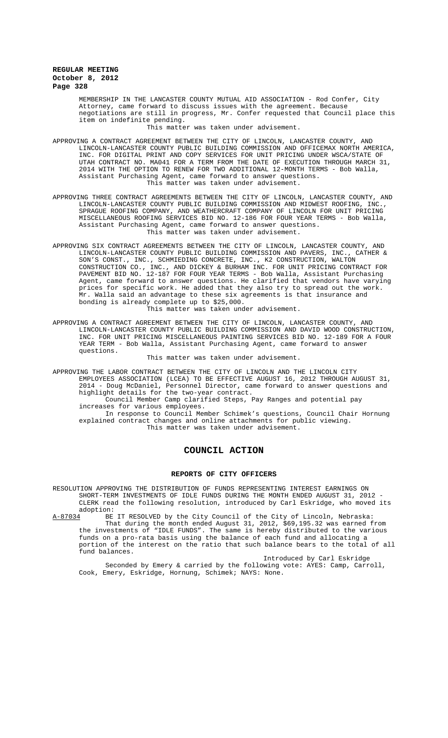MEMBERSHIP IN THE LANCASTER COUNTY MUTUAL AID ASSOCIATION - Rod Confer, City Attorney, came forward to discuss issues with the agreement. Because negotiations are still in progress, Mr. Confer requested that Council place this item on indefinite pending.

This matter was taken under advisement.

- APPROVING A CONTRACT AGREEMENT BETWEEN THE CITY OF LINCOLN, LANCASTER COUNTY, AND LINCOLN-LANCASTER COUNTY PUBLIC BUILDING COMMISSION AND OFFICEMAX NORTH AMERICA, INC. FOR DIGITAL PRINT AND COPY SERVICES FOR UNIT PRICING UNDER WSCA/STATE OF UTAH CONTRACT NO. MA041 FOR A TERM FROM THE DATE OF EXECUTION THROUGH MARCH 31, 2014 WITH THE OPTION TO RENEW FOR TWO ADDITIONAL 12-MONTH TERMS - Bob Walla, Assistant Purchasing Agent, came forward to answer questions. This matter was taken under advisement.
- APPROVING THREE CONTRACT AGREEMENTS BETWEEN THE CITY OF LINCOLN, LANCASTER COUNTY, AND LINCOLN-LANCASTER COUNTY PUBLIC BUILDING COMMISSION AND MIDWEST ROOFING, INC., SPRAGUE ROOFING COMPANY, AND WEATHERCRAFT COMPANY OF LINCOLN FOR UNIT PRICING MISCELLANEOUS ROOFING SERVICES BID NO. 12-186 FOR FOUR YEAR TERMS - Bob Walla, Assistant Purchasing Agent, came forward to answer questions. This matter was taken under advisement.
- APPROVING SIX CONTRACT AGREEMENTS BETWEEN THE CITY OF LINCOLN, LANCASTER COUNTY, AND LINCOLN-LANCASTER COUNTY PUBLIC BUILDING COMMISSION AND PAVERS, INC., CATHER & SON'S CONST., INC., SCHMIEDING CONCRETE, INC., K2 CONSTRUCTION, WALTON CONSTRUCTION CO., INC., AND DICKEY & BURHAM INC. FOR UNIT PRICING CONTRACT FOR PAVEMENT BID NO. 12-187 FOR FOUR YEAR TERMS - Bob Walla, Assistant Purchasing Agent, came forward to answer questions. He clarified that vendors have varying prices for specific work. He added that they also try to spread out the work. .<br>Mr. Walla said an advantage to these six agreements is that insurance and bonding is already complete up to \$25,000. This matter was taken under advisement.
- APPROVING A CONTRACT AGREEMENT BETWEEN THE CITY OF LINCOLN, LANCASTER COUNTY, AND LINCOLN-LANCASTER COUNTY PUBLIC BUILDING COMMISSION AND DAVID WOOD CONSTRUCTION, INC. FOR UNIT PRICING MISCELLANEOUS PAINTING SERVICES BID NO. 12-189 FOR A FOUR YEAR TERM - Bob Walla, Assistant Purchasing Agent, came forward to answer questions.

#### This matter was taken under advisement.

APPROVING THE LABOR CONTRACT BETWEEN THE CITY OF LINCOLN AND THE LINCOLN CITY EMPLOYEES ASSOCIATION (LCEA) TO BE EFFECTIVE AUGUST 16, 2012 THROUGH AUGUST 31, 2014 - Doug McDaniel, Personnel Director, came forward to answer questions and highlight details for the two-year contract. Council Member Camp clarified Steps, Pay Ranges and potential pay increases for various employees. In response to Council Member Schimek's questions, Council Chair Hornung explained contract changes and online attachments for public viewing. This matter was taken under advisement.

## **COUNCIL ACTION**

#### **REPORTS OF CITY OFFICERS**

RESOLUTION APPROVING THE DISTRIBUTION OF FUNDS REPRESENTING INTEREST EARNINGS ON SHORT-TERM INVESTMENTS OF IDLE FUNDS DURING THE MONTH ENDED AUGUST 31, 2012 CLERK read the following resolution, introduced by Carl Eskridge, who moved its adoption:<br>A-87034 BE

BE IT RESOLVED by the City Council of the City of Lincoln, Nebraska: That during the month ended August 31, 2012, \$69,195.32 was earned from the investments of "IDLE FUNDS". The same is hereby distributed to the various funds on a pro-rata basis using the balance of each fund and allocating a portion of the interest on the ratio that such balance bears to the total of all fund balances.

Introduced by Carl Eskridge Seconded by Emery & carried by the following vote: AYES: Camp, Carroll, Cook, Emery, Eskridge, Hornung, Schimek; NAYS: None.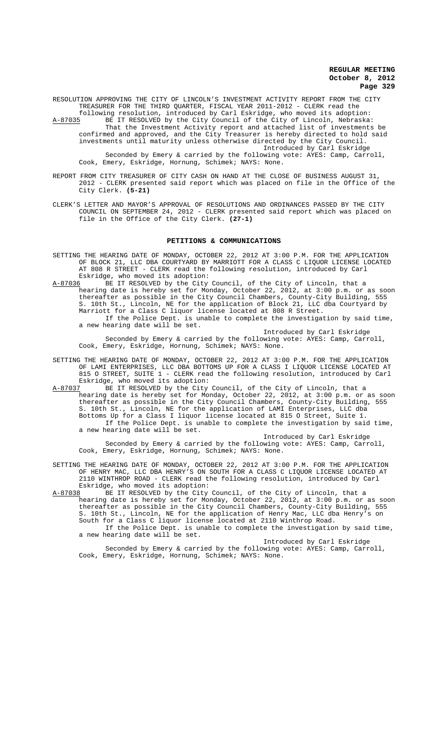RESOLUTION APPROVING THE CITY OF LINCOLN'S INVESTMENT ACTIVITY REPORT FROM THE CITY TREASURER FOR THE THIRD QUARTER, FISCAL YEAR 2011-2012 - CLERK read the following resolution, introduced by Carl Eskridge, who moved its adoption:

A-87035 BE IT RESOLVED by the City Council of the City of Lincoln, Nebraska: That the Investment Activity report and attached list of investments be confirmed and approved, and the City Treasurer is hereby directed to hold said investments until maturity unless otherwise directed by the City Council. Introduced by Carl Eskridge Seconded by Emery & carried by the following vote: AYES: Camp, Carroll, Cook, Emery, Eskridge, Hornung, Schimek; NAYS: None.

- REPORT FROM CITY TREASURER OF CITY CASH ON HAND AT THE CLOSE OF BUSINESS AUGUST 31, 2012 - CLERK presented said report which was placed on file in the Office of the City Clerk. **(5-21)**
- CLERK'S LETTER AND MAYOR'S APPROVAL OF RESOLUTIONS AND ORDINANCES PASSED BY THE CITY COUNCIL ON SEPTEMBER 24, 2012 - CLERK presented said report which was placed on file in the Office of the City Clerk. **(27-1)**

#### **PETITIONS & COMMUNICATIONS**

- SETTING THE HEARING DATE OF MONDAY, OCTOBER 22, 2012 AT 3:00 P.M. FOR THE APPLICATION OF BLOCK 21, LLC DBA COURTYARD BY MARRIOTT FOR A CLASS C LIQUOR LICENSE LOCATED AT 808 R STREET - CLERK read the following resolution, introduced by Carl Eskridge, who moved its adoption:
- A-87036 BE IT RESOLVED by the City Council, of the City of Lincoln, that a hearing date is hereby set for Monday, October 22, 2012, at 3:00 p.m. or as soon thereafter as possible in the City Council Chambers, County-City Building, 555 S. 10th St., Lincoln, NE for the application of Block 21, LLC dba Courtyard by Marriott for a Class C liquor license located at 808 R Street. If the Police Dept. is unable to complete the investigation by said time, a new hearing date will be set.

Introduced by Carl Eskridge

Seconded by Emery & carried by the following vote: AYES: Camp, Carroll, Cook, Emery, Eskridge, Hornung, Schimek; NAYS: None.

- SETTING THE HEARING DATE OF MONDAY, OCTOBER 22, 2012 AT 3:00 P.M. FOR THE APPLICATION OF LAMI ENTERPRISES, LLC DBA BOTTOMS UP FOR A CLASS I LIQUOR LICENSE LOCATED AT 815 O STREET, SUITE 1 - CLERK read the following resolution, introduced by Carl Eskridge, who moved its adoption:<br>A-87037 BE IT RESOLVED by the City
- BE IT RESOLVED by the City Council, of the City of Lincoln, that a hearing date is hereby set for Monday, October 22, 2012, at 3:00 p.m. or as soon thereafter as possible in the City Council Chambers, County-City Building, 555 S. 10th St., Lincoln, NE for the application of LAMI Enterprises, LLC dba Bottoms Up for a Class I liquor license located at 815 O Street, Suite 1. If the Police Dept. is unable to complete the investigation by said time, a new hearing date will be set.

Introduced by Carl Eskridge Seconded by Emery & carried by the following vote: AYES: Camp, Carroll, Cook, Emery, Eskridge, Hornung, Schimek; NAYS: None.

SETTING THE HEARING DATE OF MONDAY, OCTOBER 22, 2012 AT 3:00 P.M. FOR THE APPLICATION OF HENRY MAC, LLC DBA HENRY'S ON SOUTH FOR A CLASS C LIQUOR LICENSE LOCATED AT 2110 WINTHROP ROAD - CLERK read the following resolution, introduced by Carl Eskridge, who moved its adoption:

A-87038 BE IT RESOLVED by the City Council, of the City of Lincoln, that a hearing date is hereby set for Monday, October 22, 2012, at 3:00 p.m. or as soon thereafter as possible in the City Council Chambers, County-City Building, 555 S. 10th St., Lincoln, NE for the application of Henry Mac, LLC dba Henry's on South for a Class C liquor license located at 2110 Winthrop Road. If the Police Dept. is unable to complete the investigation by said time,

a new hearing date will be set. Introduced by Carl Eskridge

Seconded by Emery & carried by the following vote: AYES: Camp, Carroll, Cook, Emery, Eskridge, Hornung, Schimek; NAYS: None.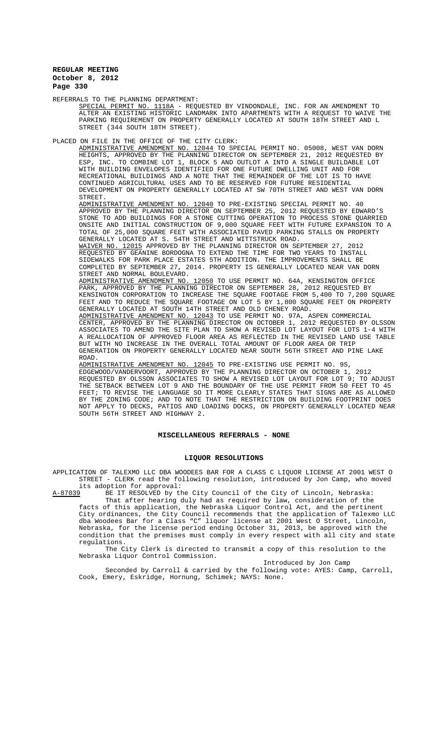REFERRALS TO THE PLANNING DEPARTMENT:

SPECIAL PERMIT NO. 1118A - REQUESTED BY VINDONDALE, INC. FOR AN AMENDMENT TO ALTER AN EXISTING HISTORIC LANDMARK INTO APARTMENTS WITH A REQUEST TO WAIVE THE PARKING REQUIREMENT ON PROPERTY GENERALLY LOCATED AT SOUTH 18TH STREET AND L STREET (344 SOUTH 18TH STREET).

PLACED ON FILE IN THE OFFICE OF THE CITY CLERK:

ADMINISTRATIVE AMENDMENT NO. 12044 TO SPECIAL PERMIT NO. 05008, WEST VAN DORN HEIGHTS, APPROVED BY THE PLANNING DIRECTOR ON SEPTEMBER 21, 2012 REQUESTED BY ESP, INC. TO COMBINE LOT 1, BLOCK 5 AND OUTLOT A INTO A SINGLE BUILDABLE LOT WITH BUILDING ENVELOPES IDENTIFIED FOR ONE FUTURE DWELLING UNIT AND FOR RECREATIONAL BUILDINGS AND A NOTE THAT THE REMAINDER OF THE LOT IS TO HAVE CONTINUED AGRICULTURAL USES AND TO BE RESERVED FOR FUTURE RESIDENTIAL DEVELOPMENT ON PROPERTY GENERALLY LOCATED AT SW 70TH STREET AND WEST VAN DORN

STREET.<br>ADMINISTRATIVE AMENDMENT NO. ADMINISTRATIVE AMENDMENT NO. 12040 TO PRE-EXISTING SPECIAL PERMIT NO. 40 APPROVED BY THE PLANNING DIRECTOR ON SEPTEMBER 25, 2012 REQUESTED BY EDWARD'S STONE TO ADD BUILDINGS FOR A STONE CUTTING OPERATION TO PROCESS STONE QUARRIED ONSITE AND INITIAL CONSTRUCTION OF 9,000 SQUARE FEET WITH FUTURE EXPANSION TO A TOTAL OF 25,000 SQUARE FEET WITH ASSOCIATED PAVED PARKING STALLS ON PROPERTY GENERALLY LOCATED AT S. 54TH STREET AND WITTSTRUCK ROAD.

WAIVER NO. 12015 APPROVED BY THE PLANNING DIRECTOR ON SEPTEMBER 27, 2012 REQUESTED BY GEANINE BORDOGNA TO EXTEND THE TIME FOR TWO YEARS TO INSTALL SIDEWALKS FOR PARK PLACE ESTATES 5TH ADDITION. THE IMPROVEMENTS SHALL BE COMPLETED BY SEPTEMBER 27, 2014. PROPERTY IS GENERALLY LOCATED NEAR VAN DORN STREET AND NORMAL BOULEVARD.

ADMINISTRATIVE AMENDMENT NO. 12050 TO USE PERMIT NO. 64A, KENSINGTON OFFICE PARK, APPROVED BY THE PLANNING DIRECTOR ON SEPTEMBER 28, 2012 REQUESTED BY KENSINGTON CORPORATION TO INCREASE THE SQUARE FOOTAGE FROM 5,400 TO 7,200 SQUARE FEET AND TO REDUCE THE SQUARE FOOTAGE ON LOT 5 BY 1,800 SQUARE FEET ON PROPERTY GENERALLY LOCATED AT SOUTH 14TH STREET AND OLD CHENEY ROAD.

ADMINISTRATIVE AMENDMENT NO. 12043 TO USE PERMIT NO. 97A, ASPEN COMMERCIAL CENTER, APPROVED BY THE PLANNING DIRECTOR ON OCTOBER 1, 2012 REQUESTED BY OLSSON ASSOCIATES TO AMEND THE SITE PLAN TO SHOW A REVISED LOT LAYOUT FOR LOTS 1-4 WITH A REALLOCATION OF APPROVED FLOOR AREA AS REFLECTED IN THE REVISED LAND USE TABLE BUT WITH NO INCREASE IN THE OVERALL TOTAL AMOUNT OF FLOOR AREA OR TRIP GENERATION ON PROPERTY GENERALLY LOCATED NEAR SOUTH 56TH STREET AND PINE LAKE ROAD.

ADMINISTRATIVE AMENDMENT NO. 12045 TO PRE-EXISTING USE PERMIT NO. 9S, EDGEWOOD/VANDERVOORT, APPROVED BY THE PLANNING DIRECTOR ON OCTOBER 1, 2012 REQUESTED BY OLSSON ASSOCIATES TO SHOW A REVISED LOT LAYOUT FOR LOT 9; TO ADJUST THE SETBACK BETWEEN LOT 9 AND THE BOUNDARY OF THE USE PERMIT FROM 50 FEET TO 45 FEET; TO REVISE THE LANGUAGE SO IT MORE CLEARLY STATES THAT SIGNS ARE AS ALLOWED BY THE ZONING CODE; AND TO NOTE THAT THE RESTRICTION ON BUILDING FOOTPRINT DOES NOT APPLY TO DECKS, PATIOS AND LOADING DOCKS, ON PROPERTY GENERALLY LOCATED NEAR SOUTH 56TH STREET AND HIGHWAY 2.

## **MISCELLANEOUS REFERRALS - NONE**

#### **LIQUOR RESOLUTIONS**

APPLICATION OF TALEXMO LLC DBA WOODEES BAR FOR A CLASS C LIQUOR LICENSE AT 2001 WEST O STREET - CLERK read the following resolution, introduced by Jon Camp, who moved

its adoption for approval:<br>A-87039 BE IT RESOLVED by the BE IT RESOLVED by the City Council of the City of Lincoln, Nebraska: That after hearing duly had as required by law, consideration of the

facts of this application, the Nebraska Liquor Control Act, and the pertinent City ordinances, the City Council recommends that the application of Talexmo LLC dba Woodees Bar for a Class "C" liquor license at 2001 West O Street, Lincoln, Nebraska, for the license period ending October 31, 2013, be approved with the condition that the premises must comply in every respect with all city and state regulations.

The City Clerk is directed to transmit a copy of this resolution to the Nebraska Liquor Control Commission.

Introduced by Jon Camp

Seconded by Carroll & carried by the following vote: AYES: Camp, Carroll, Cook, Emery, Eskridge, Hornung, Schimek; NAYS: None.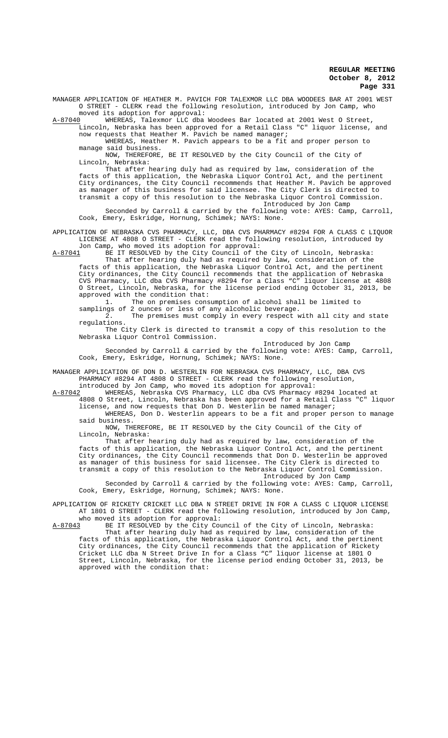MANAGER APPLICATION OF HEATHER M. PAVICH FOR TALEXMOR LLC DBA WOODEES BAR AT 2001 WEST O STREET - CLERK read the following resolution, introduced by Jon Camp, who

moved its adoption for approval:<br>A-87040 WHEREAS, Talexmor LLC dba WHEREAS, Talexmor LLC dba Woodees Bar located at 2001 West O Street, Lincoln, Nebraska has been approved for a Retail Class "C" liquor license, and

now requests that Heather M. Pavich be named manager; WHEREAS, Heather M. Pavich appears to be a fit and proper person to

manage said business. NOW, THEREFORE, BE IT RESOLVED by the City Council of the City of

Lincoln, Nebraska:

That after hearing duly had as required by law, consideration of the facts of this application, the Nebraska Liquor Control Act, and the pertinent City ordinances, the City Council recommends that Heather M. Pavich be approved as manager of this business for said licensee. The City Clerk is directed to transmit a copy of this resolution to the Nebraska Liquor Control Commission. Introduced by Jon Camp

Seconded by Carroll & carried by the following vote: AYES: Camp, Carroll, Cook, Emery, Eskridge, Hornung, Schimek; NAYS: None.

APPLICATION OF NEBRASKA CVS PHARMACY, LLC, DBA CVS PHARMACY #8294 FOR A CLASS C LIQUOR LICENSE AT 4808 O STREET - CLERK read the following resolution, introduced by Jon Camp, who moved its adoption for approval:<br>A-87041 BE IT RESOLVED by the City Council of th

BE IT RESOLVED by the City Council of the City of Lincoln, Nebraska:

That after hearing duly had as required by law, consideration of the facts of this application, the Nebraska Liquor Control Act, and the pertinent City ordinances, the City Council recommends that the application of Nebraska CVS Pharmacy, LLC dba CVS Pharmacy #8294 for a Class "C" liquor license at 4808 O Street, Lincoln, Nebraska, for the license period ending October 31, 2013, be approved with the condition that:<br>1. The on premises cons

The on premises consumption of alcohol shall be limited to samplings of 2 ounces or less of any alcoholic beverage.

2. The premises must comply in every respect with all city and state regulations.

The City Clerk is directed to transmit a copy of this resolution to the Nebraska Liquor Control Commission.

Introduced by Jon Camp

Seconded by Carroll & carried by the following vote: AYES: Camp, Carroll, Cook, Emery, Eskridge, Hornung, Schimek; NAYS: None.

MANAGER APPLICATION OF DON D. WESTERLIN FOR NEBRASKA CVS PHARMACY, LLC, DBA CVS PHARMACY #8294 AT 4808 O STREET - CLERK read the following resolution,

introduced by Jon Camp, who moved its adoption for approval: A-87042 WHEREAS, Nebraska CVS Pharmacy, LLC dba CVS Pharmacy #8294 located at 4808 O Street, Lincoln, Nebraska has been approved for a Retail Class "C" liquor license, and now requests that Don D. Westerlin be named manager; WHEREAS, Don D. Westerlin appears to be a fit and proper person to manage

said business. NOW, THEREFORE, BE IT RESOLVED by the City Council of the City of

Lincoln, Nebraska: That after hearing duly had as required by law, consideration of the facts of this application, the Nebraska Liquor Control Act, and the pertinent City ordinances, the City Council recommends that Don D. Westerlin be approved as manager of this business for said licensee. The City Clerk is directed to transmit a copy of this resolution to the Nebraska Liquor Control Commission.

Introduced by Jon Camp Seconded by Carroll & carried by the following vote: AYES: Camp, Carroll, Cook, Emery, Eskridge, Hornung, Schimek; NAYS: None.

APPLICATION OF RICKETY CRICKET LLC DBA N STREET DRIVE IN FOR A CLASS C LIQUOR LICENSE AT 1801 O STREET - CLERK read the following resolution, introduced by Jon Camp,

who moved its adoption for approval:<br>A-87043 BE IT RESOLVED by the City Cou BE IT RESOLVED by the City Council of the City of Lincoln, Nebraska:

That after hearing duly had as required by law, consideration of the facts of this application, the Nebraska Liquor Control Act, and the pertinent City ordinances, the City Council recommends that the application of Rickety Cricket LLC dba N Street Drive In for a Class "C" liquor license at 1801 O Street, Lincoln, Nebraska, for the license period ending October 31, 2013, be approved with the condition that: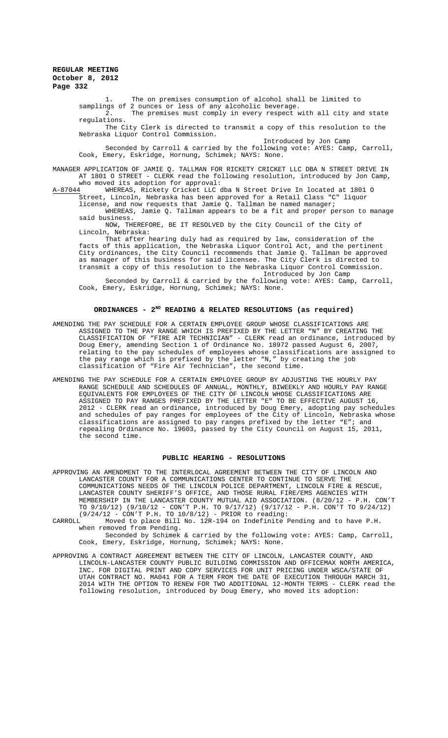1. The on premises consumption of alcohol shall be limited to samplings of 2 ounces or less of any alcoholic beverage.

2. The premises must comply in every respect with all city and state regulations.

The City Clerk is directed to transmit a copy of this resolution to the Nebraska Liquor Control Commission.

Introduced by Jon Camp

Seconded by Carroll & carried by the following vote: AYES: Camp, Carroll, Cook, Emery, Eskridge, Hornung, Schimek; NAYS: None.

MANAGER APPLICATION OF JAMIE Q. TALLMAN FOR RICKETY CRICKET LLC DBA N STREET DRIVE IN AT 1801 O STREET - CLERK read the following resolution, introduced by Jon Camp,

who moved its adoption for approval:<br>4 MHEREAS, Rickety Cricket LLC dba N Street Drive In located at 1801 O A-87044 WHEREAS, Rickety Cricket LLC dba N Street Drive In located at 1801 O Street, Lincoln, Nebraska has been approved for a Retail Class "C" liquor license, and now requests that Jamie Q. Tallman be named manager;

WHEREAS, Jamie Q. Tallman appears to be a fit and proper person to manage said business.

NOW, THEREFORE, BE IT RESOLVED by the City Council of the City of Lincoln, Nebraska:

That after hearing duly had as required by law, consideration of the facts of this application, the Nebraska Liquor Control Act, and the pertinent City ordinances, the City Council recommends that Jamie Q. Tallman be approved as manager of this business for said licensee. The City Clerk is directed to transmit a copy of this resolution to the Nebraska Liquor Control Commission. Introduced by Jon Camp

Seconded by Carroll & carried by the following vote: AYES: Camp, Carroll, Cook, Emery, Eskridge, Hornung, Schimek; NAYS: None.

## **ORDINANCES - 2ND READING & RELATED RESOLUTIONS (as required)**

AMENDING THE PAY SCHEDULE FOR A CERTAIN EMPLOYEE GROUP WHOSE CLASSIFICATIONS ARE ASSIGNED TO THE PAY RANGE WHICH IS PREFIXED BY THE LETTER "N" BY CREATING THE CLASSIFICATION OF "FIRE AIR TECHNICIAN" - CLERK read an ordinance, introduced by Doug Emery, amending Section 1 of Ordinance No. 18972 passed August 6, 2007, relating to the pay schedules of employees whose classifications are assigned to the pay range which is prefixed by the letter "N," by creating the job classification of "Fire Air Technician", the second time.

AMENDING THE PAY SCHEDULE FOR A CERTAIN EMPLOYEE GROUP BY ADJUSTING THE HOURLY PAY RANGE SCHEDULE AND SCHEDULES OF ANNUAL, MONTHLY, BIWEEKLY AND HOURLY PAY RANGE EQUIVALENTS FOR EMPLOYEES OF THE CITY OF LINCOLN WHOSE CLASSIFICATIONS ARE ASSIGNED TO PAY RANGES PREFIXED BY THE LETTER "E" TO BE EFFECTIVE AUGUST 16, 2012 - CLERK read an ordinance, introduced by Doug Emery, adopting pay schedules and schedules of pay ranges for employees of the City of Lincoln, Nebraska whose classifications are assigned to pay ranges prefixed by the letter "E"; and repealing Ordinance No. 19603, passed by the City Council on August 15, 2011, the second time.

#### **PUBLIC HEARING - RESOLUTIONS**

APPROVING AN AMENDMENT TO THE INTERLOCAL AGREEMENT BETWEEN THE CITY OF LINCOLN AND LANCASTER COUNTY FOR A COMMUNICATIONS CENTER TO CONTINUE TO SERVE THE COMMUNICATIONS NEEDS OF THE LINCOLN POLICE DEPARTMENT, LINCOLN FIRE & RESCUE, LANCASTER COUNTY SHERIFF'S OFFICE, AND THOSE RURAL FIRE/EMS AGENCIES WITH MEMBERSHIP IN THE LANCASTER COUNTY MUTUAL AID ASSOCIATION. (8/20/12 - P.H. CON'T TO 9/10/12) (9/10/12 - CON'T P.H. TO 9/17/12) (9/17/12 - P.H. CON'T TO 9/24/12) (9/24/12 - CON'T P.H. TO 10/8/12) - PRIOR to reading:

CARROLL Moved to place Bill No. 12R-194 on Indefinite Pending and to have P.H. when removed from Pending.

Seconded by Schimek & carried by the following vote: AYES: Camp, Carroll, Cook, Emery, Eskridge, Hornung, Schimek; NAYS: None.

APPROVING A CONTRACT AGREEMENT BETWEEN THE CITY OF LINCOLN, LANCASTER COUNTY, AND LINCOLN-LANCASTER COUNTY PUBLIC BUILDING COMMISSION AND OFFICEMAX NORTH AMERICA, INC. FOR DIGITAL PRINT AND COPY SERVICES FOR UNIT PRICING UNDER WSCA/STATE OF UTAH CONTRACT NO. MA041 FOR A TERM FROM THE DATE OF EXECUTION THROUGH MARCH 31, 2014 WITH THE OPTION TO RENEW FOR TWO ADDITIONAL 12-MONTH TERMS - CLERK read the following resolution, introduced by Doug Emery, who moved its adoption: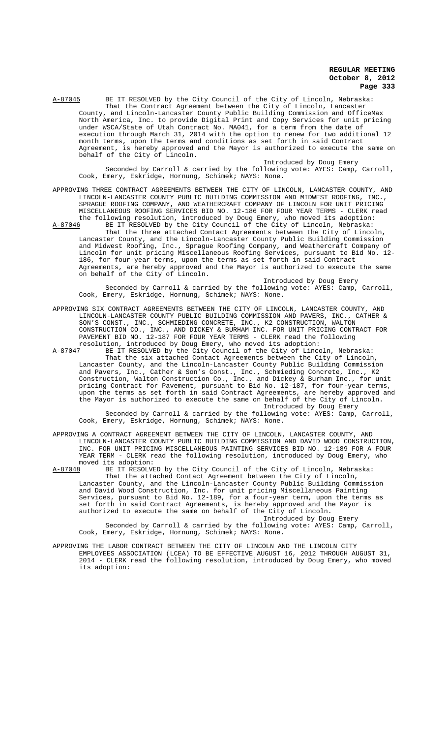A-87045 BE IT RESOLVED by the City Council of the City of Lincoln, Nebraska: That the Contract Agreement between the City of Lincoln, Lancaster County, and Lincoln-Lancaster County Public Building Commission and OfficeMax North America, Inc. to provide Digital Print and Copy Services for unit pricing under WSCA/State of Utah Contract No. MA041, for a term from the date of execution through March 31, 2014 with the option to renew for two additional 12 month terms, upon the terms and conditions as set forth in said Contract Agreement, is hereby approved and the Mayor is authorized to execute the same on behalf of the City of Lincoln.

Introduced by Doug Emery

Seconded by Carroll & carried by the following vote: AYES: Camp, Carroll, Cook, Emery, Eskridge, Hornung, Schimek; NAYS: None.

APPROVING THREE CONTRACT AGREEMENTS BETWEEN THE CITY OF LINCOLN, LANCASTER COUNTY, AND LINCOLN-LANCASTER COUNTY PUBLIC BUILDING COMMISSION AND MIDWEST ROOFING, INC., SPRAGUE ROOFING COMPANY, AND WEATHERCRAFT COMPANY OF LINCOLN FOR UNIT PRICING MISCELLANEOUS ROOFING SERVICES BID NO. 12-186 FOR FOUR YEAR TERMS - CLERK read the following resolution, introduced by Doug Emery, who moved its adoption:<br>A-87046 BE IT RESOLVED by the City Council of the City of Lincoln, Nebraska:

BE IT RESOLVED by the City Council of the City of Lincoln, Nebraska: That the three attached Contact Agreements between the City of Lincoln, Lancaster County, and the Lincoln-Lancaster County Public Building Commission and Midwest Roofing, Inc., Sprague Roofing Company, and Weathercraft Company of Lincoln for unit pricing Miscellaneous Roofing Services, pursuant to Bid No. 12- 186, for four-year terms, upon the terms as set forth in said Contract Agreements, are hereby approved and the Mayor is authorized to execute the same on behalf of the City of Lincoln.

Introduced by Doug Emery Seconded by Carroll & carried by the following vote: AYES: Camp, Carroll, Cook, Emery, Eskridge, Hornung, Schimek; NAYS: None.

APPROVING SIX CONTRACT AGREEMENTS BETWEEN THE CITY OF LINCOLN, LANCASTER COUNTY, AND LINCOLN-LANCASTER COUNTY PUBLIC BUILDING COMMISSION AND PAVERS, INC., CATHER & SON'S CONST., INC., SCHMIEDING CONCRETE, INC., K2 CONSTRUCTION, WALTON CONSTRUCTION CO., INC., AND DICKEY & BURHAM INC. FOR UNIT PRICING CONTRACT FOR PAVEMENT BID NO. 12-187 FOR FOUR YEAR TERMS - CLERK read the following resolution, introduced by Doug Emery, who moved its adoption:<br>A-87047 BE IT RESOLVED by the City Council of the City of Linco

BE IT RESOLVED by the City Council of the City of Lincoln, Nebraska: That the six attached Contact Agreements between the City of Lincoln, Lancaster County, and the Lincoln-Lancaster County Public Building Commission and Pavers, Inc., Cather & Son's Const., Inc., Schmieding Concrete, Inc., K2 Construction, Walton Construction Co., Inc., and Dickey & Burham Inc., for unit pricing Contract for Pavement, pursuant to Bid No. 12-187, for four-year terms, upon the terms as set forth in said Contract Agreements, are hereby approved and the Mayor is authorized to execute the same on behalf of the City of Lincoln. Introduced by Doug Emery Seconded by Carroll & carried by the following vote: AYES: Camp, Carroll,

Cook, Emery, Eskridge, Hornung, Schimek; NAYS: None.

APPROVING A CONTRACT AGREEMENT BETWEEN THE CITY OF LINCOLN, LANCASTER COUNTY, AND LINCOLN-LANCASTER COUNTY PUBLIC BUILDING COMMISSION AND DAVID WOOD CONSTRUCTION, INC. FOR UNIT PRICING MISCELLANEOUS PAINTING SERVICES BID NO. 12-189 FOR A FOUR YEAR TERM - CLERK read the following resolution, introduced by Doug Emery, who moved its adoption:<br>A-87048 BE IT RESOLVE

BE IT RESOLVED by the City Council of the City of Lincoln, Nebraska: That the attached Contact Agreement between the City of Lincoln, Lancaster County, and the Lincoln-Lancaster County Public Building Commission and David Wood Construction, Inc. for unit pricing Miscellaneous Painting Services, pursuant to Bid No. 12-189, for a four-year term, upon the terms as set forth in said Contract Agreements, is hereby approved and the Mayor is authorized to execute the same on behalf of the City of Lincoln. Introduced by Doug Emery

Seconded by Carroll & carried by the following vote: AYES: Camp, Carroll, Cook, Emery, Eskridge, Hornung, Schimek; NAYS: None.

APPROVING THE LABOR CONTRACT BETWEEN THE CITY OF LINCOLN AND THE LINCOLN CITY EMPLOYEES ASSOCIATION (LCEA) TO BE EFFECTIVE AUGUST 16, 2012 THROUGH AUGUST 31, 2014 - CLERK read the following resolution, introduced by Doug Emery, who moved its adoption: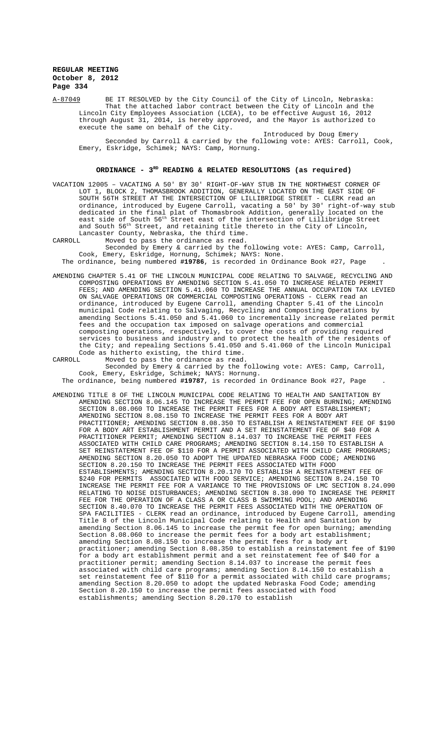A-87049 BE IT RESOLVED by the City Council of the City of Lincoln, Nebraska: That the attached labor contract between the City of Lincoln and the Lincoln City Employees Association (LCEA), to be effective August 16, 2012 through August 31, 2014, is hereby approved, and the Mayor is authorized to execute the same on behalf of the City. execute the same on behalf of the City.

Introduced by Doug Emery Seconded by Carroll & carried by the following vote: AYES: Carroll, Cook, Emery, Eskridge, Schimek; NAYS: Camp, Hornung.

## **ORDINANCE - 3RD READING & RELATED RESOLUTIONS (as required)**

VACATION 12005 – VACATING A 50' BY 30' RIGHT-OF-WAY STUB IN THE NORTHWEST CORNER OF LOT 1, BLOCK 2, THOMASBROOK ADDITION, GENERALLY LOCATED ON THE EAST SIDE OF SOUTH 56TH STREET AT THE INTERSECTION OF LILLIBRIDGE STREET - CLERK read an ordinance, introduced by Eugene Carroll, vacating a 50' by 30' right-of-way stub dedicated in the final plat of Thomasbrook Addition, generally located on the east side of South 56th Street east of the intersection of Lillibridge Street and South 56<sup>th</sup> Street, and retaining title thereto in the City of Lincoln, Lancaster County, Nebraska, the third time.<br>CARROLL Moved to pass the ordinance as read.

CARROLL Moved to pass the ordinance as read. Seconded by Emery & carried by the following vote: AYES: Camp, Carroll, Cook, Emery, Eskridge, Hornung, Schimek; NAYS: None.

The ordinance, being numbered **#19786**, is recorded in Ordinance Book #27, Page .

AMENDING CHAPTER 5.41 OF THE LINCOLN MUNICIPAL CODE RELATING TO SALVAGE, RECYCLING AND COMPOSTING OPERATIONS BY AMENDING SECTION 5.41.050 TO INCREASE RELATED PERMIT FEES; AND AMENDING SECTION 5.41.060 TO INCREASE THE ANNUAL OCCUPATION TAX LEVIED ON SALVAGE OPERATIONS OR COMMERCIAL COMPOSTING OPERATIONS - CLERK read an ordinance, introduced by Eugene Carroll, amending Chapter 5.41 of the Lincoln municipal Code relating to Salvaging, Recycling and Composting Operations by amending Sections 5.41.050 and 5.41.060 to incrementally increase related permit fees and the occupation tax imposed on salvage operations and commercial composting operations, respectively, to cover the costs of providing required services to business and industry and to protect the health of the residents of the City; and repealing Sections 5.41.050 and 5.41.060 of the Lincoln Municipal Code as hitherto existing, the third time.<br>CARROLL Moved to pass the ordinance as read

CARROLL Moved to pass the ordinance as read. Seconded by Emery & carried by the following vote: AYES: Camp, Carroll, Cook, Emery, Eskridge, Schimek; NAYS: Hornung.

The ordinance, being numbered **#19787**, is recorded in Ordinance Book #27, Page .

AMENDING TITLE 8 OF THE LINCOLN MUNICIPAL CODE RELATING TO HEALTH AND SANITATION BY AMENDING SECTION 8.06.145 TO INCREASE THE PERMIT FEE FOR OPEN BURNING; AMENDING SECTION 8.08.060 TO INCREASE THE PERMIT FEES FOR A BODY ART ESTABLISHMENT; AMENDING SECTION 8.08.150 TO INCREASE THE PERMIT FEES FOR A BODY ART PRACTITIONER; AMENDING SECTION 8.08.350 TO ESTABLISH A REINSTATEMENT FEE OF \$190 FOR A BODY ART ESTABLISHMENT PERMIT AND A SET REINSTATEMENT FEE OF \$40 FOR A PRACTITIONER PERMIT; AMENDING SECTION 8.14.037 TO INCREASE THE PERMIT FEES ASSOCIATED WITH CHILD CARE PROGRAMS; AMENDING SECTION 8.14.150 TO ESTABLISH A SET REINSTATEMENT FEE OF \$110 FOR A PERMIT ASSOCIATED WITH CHILD CARE PROGRAMS; AMENDING SECTION 8.20.050 TO ADOPT THE UPDATED NEBRASKA FOOD CODE; AMENDING SECTION 8.20.150 TO INCREASE THE PERMIT FEES ASSOCIATED WITH FOOD ESTABLISHMENTS; AMENDING SECTION 8.20.170 TO ESTABLISH A REINSTATEMENT FEE OF \$240 FOR PERMITS ASSOCIATED WITH FOOD SERVICE; AMENDING SECTION 8.24.150 TO INCREASE THE PERMIT FEE FOR A VARIANCE TO THE PROVISIONS OF LMC SECTION 8.24.090 RELATING TO NOISE DISTURBANCES; AMENDING SECTION 8.38.090 TO INCREASE THE PERMIT FEE FOR THE OPERATION OF A CLASS A OR CLASS B SWIMMING POOL; AND AMENDING SECTION 8.40.070 TO INCREASE THE PERMIT FEES ASSOCIATED WITH THE OPERATION OF SPA FACILITIES - CLERK read an ordinance, introduced by Eugene Carroll, amending Title 8 of the Lincoln Municipal Code relating to Health and Sanitation by amending Section 8.06.145 to increase the permit fee for open burning; amending Section 8.08.060 to increase the permit fees for a body art establishment; amending Section 8.08.150 to increase the permit fees for a body art practitioner; amending Section 8.08.350 to establish a reinstatement fee of \$190 for a body art establishment permit and a set reinstatement fee of \$40 for a  $practitioner~permit$ ; amending Section  $8.14.037$  to increase the permit fees associated with child care programs; amending Section 8.14.150 to establish a set reinstatement fee of \$110 for a permit associated with child care programs; amending Section 8.20.050 to adopt the updated Nebraska Food Code; amending Section 8.20.150 to increase the permit fees associated with food establishments; amending Section 8.20.170 to establish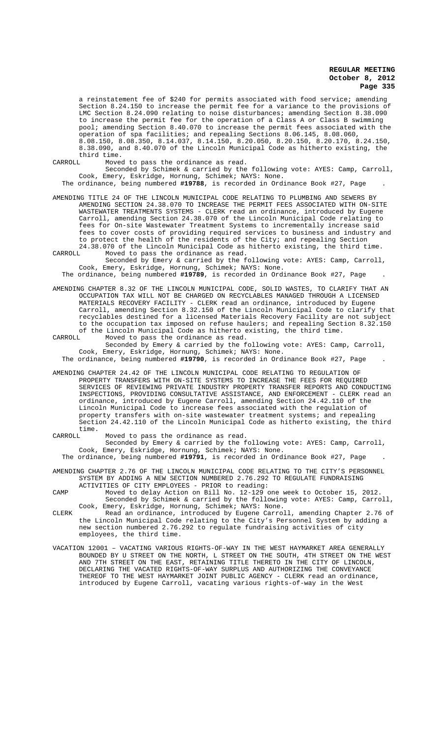a reinstatement fee of \$240 for permits associated with food service; amending Section 8.24.150 to increase the permit fee for a variance to the provisions of LMC Section 8.24.090 relating to noise disturbances; amending Section 8.38.090 to increase the permit fee for the operation of a Class A or Class B swimming pool; amending Section 8.40.070 to increase the permit fees associated with the operation of spa facilities; and repealing Sections 8.06.145, 8.08.060, 8.08.150, 8.08.350, 8.14.037, 8.14.150, 8.20.050, 8.20.150, 8.20.170, 8.24.150, 8.38.090, and 8.40.070 of the Lincoln Municipal Code as hitherto existing, the

third time.<br>CARROLL Move Moved to pass the ordinance as read.

Seconded by Schimek & carried by the following vote: AYES: Camp, Carroll, Cook, Emery, Eskridge, Hornung, Schimek; NAYS: None.

The ordinance, being numbered **#19788**, is recorded in Ordinance Book #27, Page .

AMENDING TITLE 24 OF THE LINCOLN MUNICIPAL CODE RELATING TO PLUMBING AND SEWERS BY AMENDING SECTION 24.38.070 TO INCREASE THE PERMIT FEES ASSOCIATED WITH ON-SITE WASTEWATER TREATMENTS SYSTEMS - CLERK read an ordinance, introduced by Eugene Carroll, amending Section 24.38.070 of the Lincoln Municipal Code relating to fees for On-site Wastewater Treatment Systems to incrementally increase said fees to cover costs of providing required services to business and industry and to protect the health of the residents of the City; and repealing Section 24.38.070 of the Lincoln Municipal Code as hitherto existing, the third time.<br>CARROLL Moved to pass the ordinance as read.

Moved to pass the ordinance as read. Seconded by Emery & carried by the following vote: AYES: Camp, Carroll,

Cook, Emery, Eskridge, Hornung, Schimek; NAYS: None. The ordinance, being numbered **#19789**, is recorded in Ordinance Book #27, Page .

AMENDING CHAPTER 8.32 OF THE LINCOLN MUNICIPAL CODE, SOLID WASTES, TO CLARIFY THAT AN OCCUPATION TAX WILL NOT BE CHARGED ON RECYCLABLES MANAGED THROUGH A LICENSED MATERIALS RECOVERY FACILITY - CLERK read an ordinance, introduced by Eugene Carroll, amending Section 8.32.150 of the Lincoln Municipal Code to clarify that recyclables destined for a licensed Materials Recovery Facility are not subject to the occupation tax imposed on refuse haulers; and repealing Section 8.32.150

of the Lincoln Municipal Code as hitherto existing, the third time.<br>CARROLL Moved to pass the ordinance as read. Moved to pass the ordinance as read. Seconded by Emery & carried by the following vote: AYES: Camp, Carroll, Cook, Emery, Eskridge, Hornung, Schimek; NAYS: None.

The ordinance, being numbered **#19790**, is recorded in Ordinance Book #27, Page .

AMENDING CHAPTER 24.42 OF THE LINCOLN MUNICIPAL CODE RELATING TO REGULATION OF PROPERTY TRANSFERS WITH ON-SITE SYSTEMS TO INCREASE THE FEES FOR REQUIRED SERVICES OF REVIEWING PRIVATE INDUSTRY PROPERTY TRANSFER REPORTS AND CONDUCTING INSPECTIONS, PROVIDING CONSULTATIVE ASSISTANCE, AND ENFORCEMENT - CLERK read an ordinance, introduced by Eugene Carroll, amending Section 24.42.110 of the Lincoln Municipal Code to increase fees associated with the regulation of property transfers with on-site wastewater treatment systems; and repealing Section 24.42.110 of the Lincoln Municipal Code as hitherto existing, the third

time.<br>CARROLL Moved to pass the ordinance as read. Seconded by Emery & carried by the following vote: AYES: Camp, Carroll, Cook, Emery, Eskridge, Hornung, Schimek; NAYS: None. The ordinance, being numbered **#19791**, is recorded in Ordinance Book #27, Page .

AMENDING CHAPTER 2.76 OF THE LINCOLN MUNICIPAL CODE RELATING TO THE CITY'S PERSONNEL SYSTEM BY ADDING A NEW SECTION NUMBERED 2.76.292 TO REGULATE FUNDRAISING ACTIVITIES OF CITY EMPLOYEES - PRIOR to reading:

- CAMP Moved to delay Action on Bill No. 12-129 one week to October 15, 2012. Seconded by Schimek & carried by the following vote: AYES: Camp, Carroll, Cook, Emery, Eskridge, Hornung, Schimek; NAYS: None.
- CLERK Read an ordinance, introduced by Eugene Carroll, amending Chapter 2.76 of the Lincoln Municipal Code relating to the City's Personnel System by adding a new section numbered 2.76.292 to regulate fundraising activities of city employees, the third time.
- VACATION 12001 VACATING VARIOUS RIGHTS-OF-WAY IN THE WEST HAYMARKET AREA GENERALLY BOUNDED BY U STREET ON THE NORTH, L STREET ON THE SOUTH, 4TH STREET ON THE WEST AND 7TH STREET ON THE EAST, RETAINING TITLE THERETO IN THE CITY OF LINCOLN, DECLARING THE VACATED RIGHTS-OF-WAY SURPLUS AND AUTHORIZING THE CONVEYANCE THEREOF TO THE WEST HAYMARKET JOINT PUBLIC AGENCY - CLERK read an ordinance, introduced by Eugene Carroll, vacating various rights-of-way in the West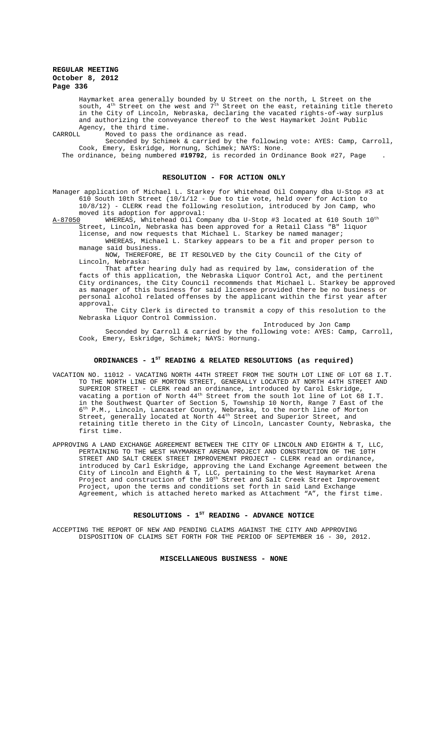Haymarket area generally bounded by U Street on the north, L Street on the south,  $4^{\text{th}}$  Street on the west and  $7^{\text{th}}$  Street on the east, retaining title thereto in the City of Lincoln, Nebraska, declaring the vacated rights-of-way surplus and authorizing the conveyance thereof to the West Haymarket Joint Public Agency, the third time.<br>CARROLL, Moved to pass the

Moved to pass the ordinance as read.

Seconded by Schimek & carried by the following vote: AYES: Camp, Carroll, Cook, Emery, Eskridge, Hornung, Schimek; NAYS: None.

The ordinance, being numbered **#19792**, is recorded in Ordinance Book #27, Page .

## **RESOLUTION - FOR ACTION ONLY**

Manager application of Michael L. Starkey for Whitehead Oil Company dba U-Stop #3 at<br>610 South 10th Street (10/1/12 - Due to tie vote, held over for Action to South 10th Street  $(10/1/12$  - Due to tie vote, held over for Action to 10/8/12) - CLERK read the following resolution, introduced by Jon Camp, who

moved its adoption for approval:<br>A-87050 WHEREAS, Whitehead Oil Com WHEREAS, Whitehead Oil Company dba U-Stop #3 located at 610 South 10<sup>th</sup><br>.. Lincoln. Nebraska has been approved for a Retail Class "B" liguor Street, Lincoln, Nebraska has been approved for a Retail Class "B" liquor

license, and now requests that Michael L. Starkey be named manager; WHEREAS, Michael L. Starkey appears to be a fit and proper person to manage said business.

NOW, THEREFORE, BE IT RESOLVED by the City Council of the City of Lincoln, Nebraska:

That after hearing duly had as required by law, consideration of the facts of this application, the Nebraska Liquor Control Act, and the pertinent City ordinances, the City Council recommends that Michael L. Starkey be approved as manager of this business for said licensee provided there be no business or personal alcohol related offenses by the applicant within the first year after approval.

The City Clerk is directed to transmit a copy of this resolution to the Nebraska Liquor Control Commission.

Introduced by Jon Camp Seconded by Carroll & carried by the following vote: AYES: Camp, Carroll, Cook, Emery, Eskridge, Schimek; NAYS: Hornung.

# **ORDINANCES - 1ST READING & RELATED RESOLUTIONS (as required)**

- VACATION NO. 11012 VACATING NORTH 44TH STREET FROM THE SOUTH LOT LINE OF LOT 68 I.T. TO THE NORTH LINE OF MORTON STREET, GENERALLY LOCATED AT NORTH 44TH STREET AND SUPERIOR STREET - CLERK read an ordinance, introduced by Carol Eskridge, vacating a portion of North  $44^{\text{th}}$  Street from the south lot line of Lot 68 I.T. in the Southwest Quarter of Section 5, Township 10 North, Range 7 East of the 6th P.M., Lincoln, Lancaster County, Nebraska, to the north line of Morton Street, generally located at North  $44^{\text{th}}$  Street and Superior Street, and retaining title thereto in the City of Lincoln, Lancaster County, Nebraska, the first time.
- APPROVING A LAND EXCHANGE AGREEMENT BETWEEN THE CITY OF LINCOLN AND EIGHTH & T, LLC, PERTAINING TO THE WEST HAYMARKET ARENA PROJECT AND CONSTRUCTION OF THE 10TH STREET AND SALT CREEK STREET IMPROVEMENT PROJECT - CLERK read an ordinance, introduced by Carl Eskridge, approving the Land Exchange Agreement between the City of Lincoln and Eighth & T, LLC, pertaining to the West Haymarket Arena Project and construction of the  $10^{\rm th}$  Street and Salt Creek Street Improvement Project, upon the terms and conditions set forth in said Land Exchange Agreement, which is attached hereto marked as Attachment "A", the first time.

# RESOLUTIONS - 1<sup>st</sup> READING - ADVANCE NOTICE

ACCEPTING THE REPORT OF NEW AND PENDING CLAIMS AGAINST THE CITY AND APPROVING DISPOSITION OF CLAIMS SET FORTH FOR THE PERIOD OF SEPTEMBER 16 - 30, 2012.

#### **MISCELLANEOUS BUSINESS - NONE**